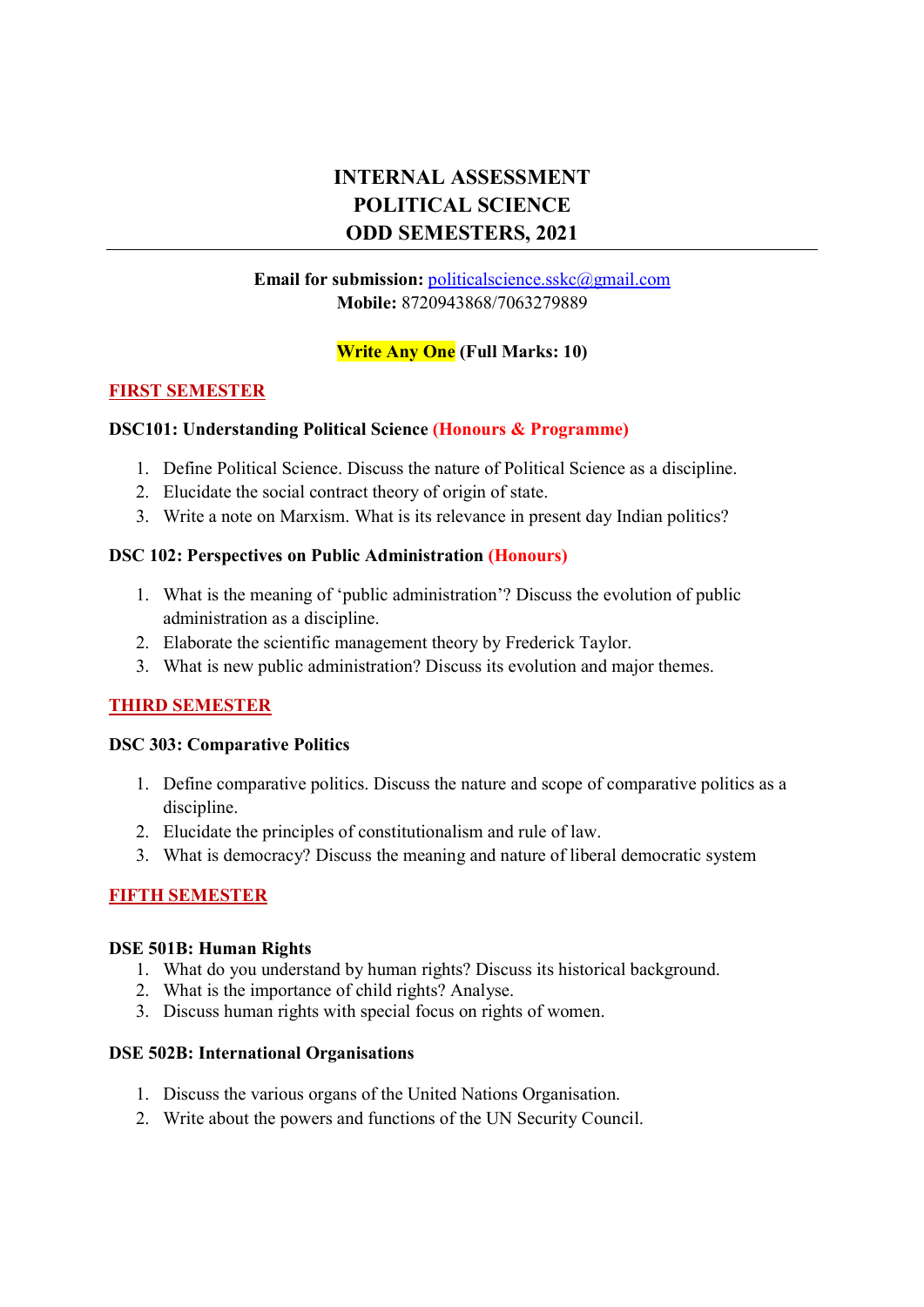## INTERNAL ASSESSMENT POLITICAL SCIENCE ODD SEMESTERS, 2021

#### Email for submission: politicalscience.sskc@gmail.com Mobile: 8720943868/7063279889

#### Write Any One (Full Marks: 10)

#### FIRST SEMESTER

#### DSC101: Understanding Political Science (Honours & Programme)

- 1. Define Political Science. Discuss the nature of Political Science as a discipline.
- 2. Elucidate the social contract theory of origin of state.
- 3. Write a note on Marxism. What is its relevance in present day Indian politics?

#### DSC 102: Perspectives on Public Administration (Honours)

- 1. What is the meaning of 'public administration'? Discuss the evolution of public administration as a discipline.
- 2. Elaborate the scientific management theory by Frederick Taylor.
- 3. What is new public administration? Discuss its evolution and major themes.

#### THIRD SEMESTER

#### DSC 303: Comparative Politics

- 1. Define comparative politics. Discuss the nature and scope of comparative politics as a discipline.
- 2. Elucidate the principles of constitutionalism and rule of law.
- 3. What is democracy? Discuss the meaning and nature of liberal democratic system

#### FIFTH SEMESTER

#### DSE 501B: Human Rights

- 1. What do you understand by human rights? Discuss its historical background.
- 2. What is the importance of child rights? Analyse.
- 3. Discuss human rights with special focus on rights of women.

#### DSE 502B: International Organisations

- 1. Discuss the various organs of the United Nations Organisation.
- 2. Write about the powers and functions of the UN Security Council.